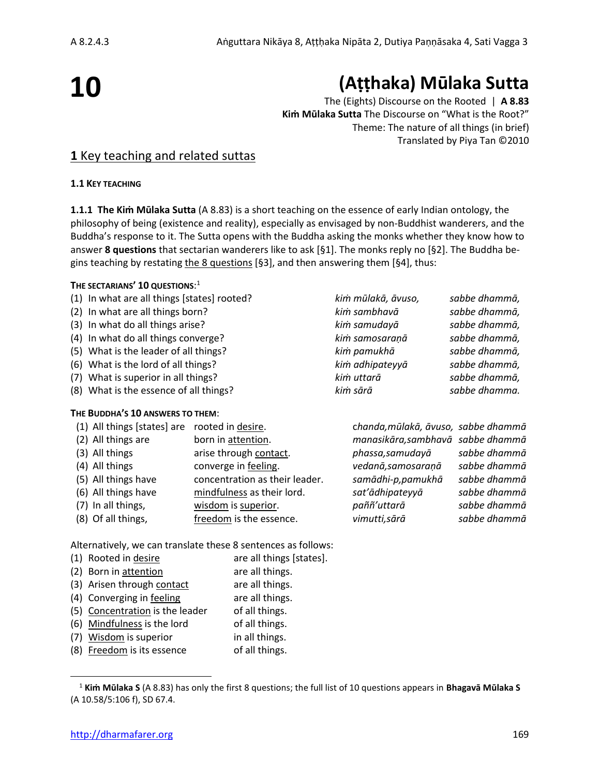# **10**

# **(Aṭṭhaka) Mūlaka Sutta**

The (Eights) Discourse on the Rooted | **A 8.83 Kiṁ Mūlaka Sutta** The Discourse on "What is the Root?" Theme: The nature of all things (in brief) Translated by Piya Tan ©2010

# **1** Key teaching and related suttas

**1.1 KEY TEACHING**

**1.1.1 The Kiṁ Mūlaka Sutta** (A 8.83) is a short teaching on the essence of early Indian ontology, the philosophy of being (existence and reality), especially as envisaged by non-Buddhist wanderers, and the Buddha's response to it. The Sutta opens with the Buddha asking the monks whether they know how to answer **8 questions** that sectarian wanderers like to ask [§1]. The monks reply no [§2]. The Buddha begins teaching by restating the 8 questions [§3], and then answering them [§4], thus:

#### **THE SECTARIANS' 10 QUESTIONS**: 1

- (1) In what are all things [states] rooted? *kiṁ mūlakā, āvuso, sabbe dhammā,*
- (2) In what are all things born? *kiṁ sambhavā sabbe dhammā,*
- (3) In what do all things arise? *kiṁ samudayā sabbe dhammā,*
- (4) In what do all things converge? *kiṁ samosaraṇā sabbe dhammā,*
- (5) What is the leader of all things? *kiṁ pamukhā sabbe dhammā,*
- (6) What is the lord of all things? *kiṁ adhipateyyā sabbe dhammā,*
- (7) What is superior in all things? *kiṁ uttarā sabbe dhammā,*
- (8) What is the essence of all things? *kiṁ sārā sabbe dhamma.*

#### **THE BUDDHA'S 10 ANSWERS TO THEM**:

| (1) All things [states] are | rooted in desire.              | chanda, mūlakā, āvuso, sabbe dhammā |              |
|-----------------------------|--------------------------------|-------------------------------------|--------------|
| (2) All things are          | born in attention.             | manasikāra, sambhavā sabbe dhammā   |              |
| (3) All things              | arise through contact.         | phassa, samudayā                    | sabbe dhammā |
| (4) All things              | converge in feeling.           | vedanā, samosaraņā                  | sabbe dhammā |
| (5) All things have         | concentration as their leader. | samādhi-p,pamukhā                   | sabbe dhammā |
| (6) All things have         | mindfulness as their lord.     | sat'ādhipateyyā                     | sabbe dhammā |
| (7) In all things,          | wisdom is superior.            | paññ'uttarā                         | sabbe dhammā |
| (8) Of all things,          | freedom is the essence.        | vimutti, sārā                       | sabbe dhammā |
|                             |                                |                                     |              |

Alternatively, we can translate these 8 sentences as follows:

| (1) Rooted in desire            | are all things [states]. |
|---------------------------------|--------------------------|
| (2) Born in attention           | are all things.          |
| (3) Arisen through contact      | are all things.          |
| (4) Converging in feeling       | are all things.          |
| (5) Concentration is the leader | of all things.           |
| (6) Mindfulness is the lord     | of all things.           |
| (7) Wisdom is superior          | in all things.           |
| (8) Freedom is its essence      | of all things.           |

<sup>1</sup> **Kiṁ Mūlaka S** (A 8.83) has only the first 8 questions; the full list of 10 questions appears in **Bhagavā Mūlaka S**  (A 10.58/5:106 f), SD 67.4.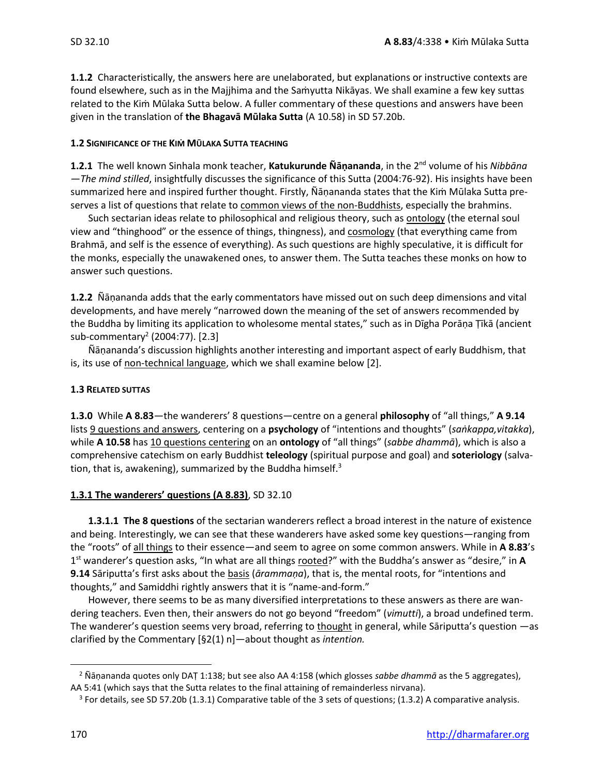**1.1.2** Characteristically, the answers here are unelaborated, but explanations or instructive contexts are found elsewhere, such as in the Majjhima and the Samyutta Nikāyas. We shall examine a few key suttas related to the Kiṁ Mūlaka Sutta below. A fuller commentary of these questions and answers have been given in the translation of **the Bhagavā Mūlaka Sutta** (A 10.58) in SD 57.20b.

#### **1.2 SIGNIFICANCE OF THE KIṀ MŪLAKA SUTTA TEACHING**

**1.2.1** The well known Sinhala monk teacher, **Katukurunde Ñāṇananda**, in the 2 nd volume of his *Nibbāna —The mind stilled*, insightfully discusses the significance of this Sutta (2004:76-92). His insights have been summarized here and inspired further thought. Firstly, Ñāṇananda states that the Kiṁ Mūlaka Sutta preserves a list of questions that relate to common views of the non-Buddhists, especially the brahmins.

Such sectarian ideas relate to philosophical and religious theory, such as ontology (the eternal soul view and "thinghood" or the essence of things, thingness), and cosmology (that everything came from Brahmā, and self is the essence of everything). As such questions are highly speculative, it is difficult for the monks, especially the unawakened ones, to answer them. The Sutta teaches these monks on how to answer such questions.

**1.2.2** Ñāṇananda adds that the early commentators have missed out on such deep dimensions and vital developments, and have merely "narrowed down the meaning of the set of answers recommended by the Buddha by limiting its application to wholesome mental states," such as in Dīgha Porāṇa Ṭīkā (ancient sub-commentary<sup>2</sup> (2004:77). [2.3]

Ñāṇananda's discussion highlights another interesting and important aspect of early Buddhism, that is, its use of non-technical language, which we shall examine below [2].

#### **1.3 RELATED SUTTAS**

**1.3.0** While **A 8.83**—the wanderers' 8 questions—centre on a general **philosophy** of "all things," **A 9.14** lists 9 questions and answers, centering on a **psychology** of "intentions and thoughts" (*saṅkappa,vitakka*), while **A 10.58** has 10 questions centering on an **ontology** of "all things" (*sabbe dhammā*), which is also a comprehensive catechism on early Buddhist **teleology** (spiritual purpose and goal) and **soteriology** (salvation, that is, awakening), summarized by the Buddha himself. $3$ 

#### **1.3.1 The wanderers' questions (A 8.83)**, SD 32.10

**1.3.1.1 The 8 questions** of the sectarian wanderers reflect a broad interest in the nature of existence and being. Interestingly, we can see that these wanderers have asked some key questions—ranging from the "roots" of all things to their essence—and seem to agree on some common answers. While in **A 8.83**'s 1 st wanderer's question asks, "In what are all things rooted?" with the Buddha's answer as "desire," in **A 9.14** Sāriputta's first asks about the basis (*ārammaṇa*), that is, the mental roots, for "intentions and thoughts," and Samiddhi rightly answers that it is "name-and-form."

However, there seems to be as many diversified interpretations to these answers as there are wandering teachers. Even then, their answers do not go beyond "freedom" (*vimutti*), a broad undefined term. The wanderer's question seems very broad, referring to thought in general, while Sāriputta's question —as clarified by the Commentary [§2(1) n]—about thought as *intention.*

<sup>2</sup> Ñāṇananda quotes only DAṬ 1:138; but see also AA 4:158 (which glosses *sabbe dhammā* as the 5 aggregates), AA 5:41 (which says that the Sutta relates to the final attaining of remainderless nirvana).

 $3$  For details, see SD 57.20b (1.3.1) Comparative table of the 3 sets of questions; (1.3.2) A comparative analysis.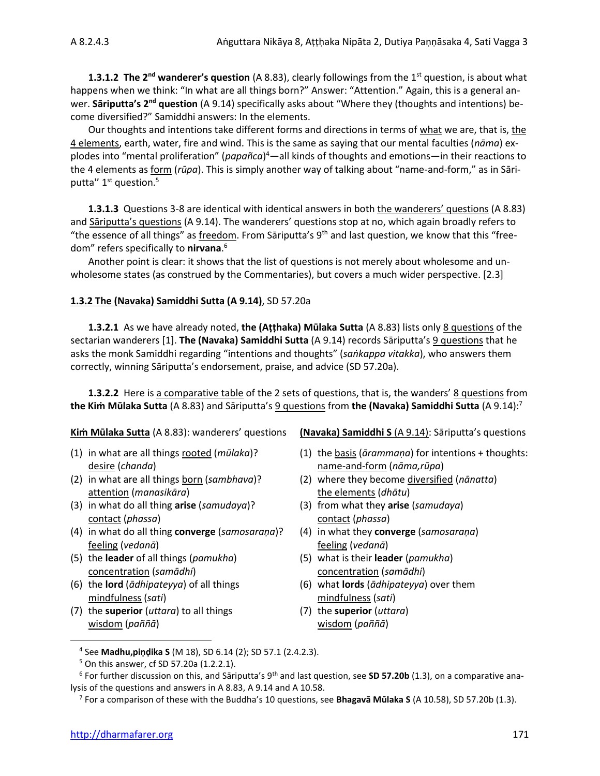**1.3.1.2 The 2<sup>nd</sup> wanderer's question** (A 8.83), clearly followings from the 1<sup>st</sup> question, is about what happens when we think: "In what are all things born?" Answer: "Attention." Again, this is a general anwer. **Sāriputta's 2nd question** (A 9.14) specifically asks about "Where they (thoughts and intentions) become diversified?" Samiddhi answers: In the elements.

Our thoughts and intentions take different forms and directions in terms of what we are, that is, the 4 elements, earth, water, fire and wind. This is the same as saying that our mental faculties (*nāma*) explodes into "mental proliferation" (*papañca*) <sup>4</sup>—all kinds of thoughts and emotions—in their reactions to the 4 elements as form (*rūpa*). This is simply another way of talking about "name-and-form," as in Sāriputta" 1<sup>st</sup> question.<sup>5</sup>

**1.3.1.3** Questions 3-8 are identical with identical answers in both the wanderers' questions (A 8.83) and Sāriputta's questions (A 9.14). The wanderers' questions stop at no, which again broadly refers to "the essence of all things" as freedom. From Sāriputta's  $9<sup>th</sup>$  and last question, we know that this "freedom" refers specifically to **nirvana**. 6

Another point is clear: it shows that the list of questions is not merely about wholesome and unwholesome states (as construed by the Commentaries), but covers a much wider perspective. [2.3]

#### **1.3.2 The (Navaka) Samiddhi Sutta (A 9.14)**, SD 57.20a

**1.3.2.1** As we have already noted, **the (Aṭṭhaka) Mūlaka Sutta** (A 8.83) lists only 8 questions of the sectarian wanderers [1]. **The (Navaka) Samiddhi Sutta** (A 9.14) records Sāriputta's 9 questions that he asks the monk Samiddhi regarding "intentions and thoughts" (*saṅkappa vitakka*), who answers them correctly, winning Sāriputta's endorsement, praise, and advice (SD 57.20a).

**1.3.2.2** Here is a comparative table of the 2 sets of questions, that is, the wanders' 8 questions from **the Kiṁ Mūlaka Sutta** (A 8.83) and Sāriputta's 9 questions from **the (Navaka) Samiddhi Sutta** (A 9.14):<sup>7</sup>

- desire (*chanda*) name-and-form (*nāma,rūpa*)
- attention (*manasikāra*) the elements (*dhātu*)
- (3) in what do all thing **arise** (*samudaya*)? (3) from what they **arise** (*samudaya*) contact (*phassa*) contact (*phassa*)
- (4) in what do all thing **converge** (*samosaraṇa*)? (4) in what they **converge** (*samosaraṇa*) feeling (*vedanā*) feeling (*vedanā*)
- (5) the **leader** of all things (*pamukha*) (5) what is their **leader** (*pamukha*) concentration (*samādhi*) concentration (*samādhi*)
- mindfulness (*sati*) mindfulness (*sati*)
- (7) the **superior** (*uttara*) to all things (7) the **superior** (*uttara*) wisdom (*paññā*) wisdom (*paññā*)

**Kiṁ Mūlaka Sutta** (A 8.83): wanderers' questions **(Navaka) Samiddhi S** (A 9.14): Sāriputta's questions

- (1) in what are all things rooted (*mūlaka*)? (1) the basis (*ārammaṇa*) for intentions + thoughts:
- (2) in what are all things born (*sambhava*)? (2) where they become diversified (*nānatta*)
	-
	-
	-
- (6) the **lord** (*ādhipateyya*) of all things (6) what **lords** (*ādhipateyya*) over them
	-

<sup>4</sup> See **Madhu,piṇḍika S** (M 18), SD 6.14 (2); SD 57.1 (2.4.2.3).

 $5$  On this answer, cf SD 57.20a (1.2.2.1).

<sup>&</sup>lt;sup>6</sup> For further discussion on this, and Sāriputta's 9<sup>th</sup> and last question, see **SD 57.20b** (1.3), on a comparative analysis of the questions and answers in A 8.83, A 9.14 and A 10.58.

<sup>7</sup> For a comparison of these with the Buddha's 10 questions, see **Bhagavā Mūlaka S** (A 10.58), SD 57.20b (1.3).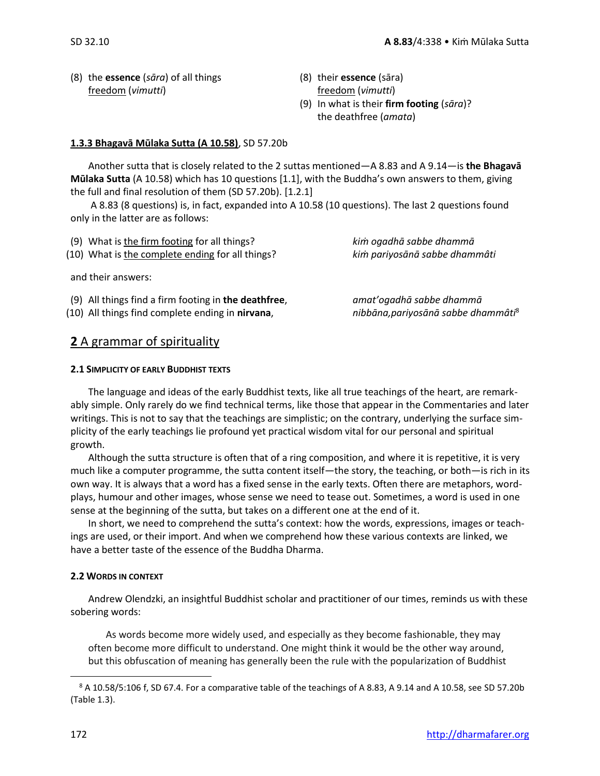- (8) the **essence** (*sāra*) of all things (8) their **essence** (sāra) freedom (*vimutti*) freedom (*vimutti*)
- - (9) In what is their **firm footing** (*sāra*)? the deathfree (*amata*)

#### **1.3.3 Bhagavā Mūlaka Sutta (A 10.58)**, SD 57.20b

Another sutta that is closely related to the 2 suttas mentioned—A 8.83 and A 9.14—is **the Bhagavā Mūlaka Sutta** (A 10.58) which has 10 questions [1.1], with the Buddha's own answers to them, giving the full and final resolution of them (SD 57.20b). [1.2.1]

A 8.83 (8 questions) is, in fact, expanded into A 10.58 (10 questions). The last 2 questions found only in the latter are as follows:

| (9) What is the firm footing for all things?         | kim ogadhā sabbe dhammā                         |  |
|------------------------------------------------------|-------------------------------------------------|--|
| (10) What is the complete ending for all things?     | kim pariyosānā sabbe dhammâti                   |  |
| and their answers:                                   |                                                 |  |
| (9) All things find a firm footing in the deathfree, | amat'ogadhā sabbe dhammā                        |  |
| (10) All things find complete ending in nirvana,     | nibbāna, pariyosānā sabbe dhammâti <sup>8</sup> |  |

### **2** A grammar of spirituality

#### **2.1 SIMPLICITY OF EARLY BUDDHIST TEXTS**

The language and ideas of the early Buddhist texts, like all true teachings of the heart, are remarkably simple. Only rarely do we find technical terms, like those that appear in the Commentaries and later writings. This is not to say that the teachings are simplistic; on the contrary, underlying the surface simplicity of the early teachings lie profound yet practical wisdom vital for our personal and spiritual growth.

Although the sutta structure is often that of a ring composition, and where it is repetitive, it is very much like a computer programme, the sutta content itself—the story, the teaching, or both—is rich in its own way. It is always that a word has a fixed sense in the early texts. Often there are metaphors, wordplays, humour and other images, whose sense we need to tease out. Sometimes, a word is used in one sense at the beginning of the sutta, but takes on a different one at the end of it.

In short, we need to comprehend the sutta's context: how the words, expressions, images or teachings are used, or their import. And when we comprehend how these various contexts are linked, we have a better taste of the essence of the Buddha Dharma.

#### **2.2 WORDS IN CONTEXT**

Andrew Olendzki, an insightful Buddhist scholar and practitioner of our times, reminds us with these sobering words:

As words become more widely used, and especially as they become fashionable, they may often become more difficult to understand. One might think it would be the other way around, but this obfuscation of meaning has generally been the rule with the popularization of Buddhist

<sup>8</sup> A 10.58/5:106 f, SD 67.4. For a comparative table of the teachings of A 8.83, A 9.14 and A 10.58, see SD 57.20b (Table 1.3).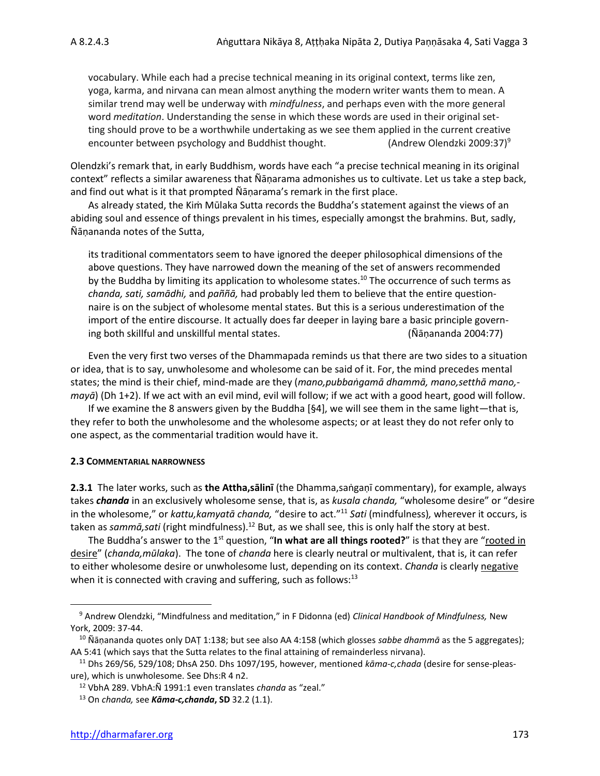vocabulary. While each had a precise technical meaning in its original context, terms like zen, yoga, karma, and nirvana can mean almost anything the modern writer wants them to mean. A similar trend may well be underway with *mindfulness*, and perhaps even with the more general word *meditation*. Understanding the sense in which these words are used in their original setting should prove to be a worthwhile undertaking as we see them applied in the current creative encounter between psychology and Buddhist thought. (Andrew Olendzki 2009:37)<sup>9</sup>

Olendzki's remark that, in early Buddhism, words have each "a precise technical meaning in its original context" reflects a similar awareness that Ñāṇarama admonishes us to cultivate. Let us take a step back, and find out what is it that prompted Ñāṇarama's remark in the first place.

As already stated, the Kiṁ Mūlaka Sutta records the Buddha's statement against the views of an abiding soul and essence of things prevalent in his times, especially amongst the brahmins. But, sadly, Ñāṇananda notes of the Sutta,

its traditional commentators seem to have ignored the deeper philosophical dimensions of the above questions. They have narrowed down the meaning of the set of answers recommended by the Buddha by limiting its application to wholesome states.<sup>10</sup> The occurrence of such terms as *chanda, sati, samādhi,* and *paññā,* had probably led them to believe that the entire questionnaire is on the subject of wholesome mental states. But this is a serious underestimation of the import of the entire discourse. It actually does far deeper in laying bare a basic principle governing both skillful and unskillful mental states. (Ñāṇananda 2004:77)

Even the very first two verses of the Dhammapada reminds us that there are two sides to a situation or idea, that is to say, unwholesome and wholesome can be said of it. For, the mind precedes mental states; the mind is their chief, mind-made are they (*mano,pubbaṅgamā dhammā, mano,setthā mano, mayā*) (Dh 1+2). If we act with an evil mind, evil will follow; if we act with a good heart, good will follow.

If we examine the 8 answers given by the Buddha [§4], we will see them in the same light—that is, they refer to both the unwholesome and the wholesome aspects; or at least they do not refer only to one aspect, as the commentarial tradition would have it.

#### **2.3 COMMENTARIAL NARROWNESS**

**2.3.1** The later works, such as **the Attha,sālinī** (the Dhamma,saṅgaṇī commentary), for example, always takes *chanda* in an exclusively wholesome sense, that is, as *kusala chanda,* "wholesome desire" or "desire in the wholesome," or *kattu,kamyatā chanda,* "desire to act." <sup>11</sup> *Sati* (mindfulness)*,* wherever it occurs, is taken as *sammā,sati* (right mindfulness).<sup>12</sup> But, as we shall see, this is only half the story at best.

The Buddha's answer to the 1<sup>st</sup> question, "**In what are all things rooted?**" is that they are "<u>rooted in</u> desire" (*chanda,mūlaka*). The tone of *chanda* here is clearly neutral or multivalent, that is, it can refer to either wholesome desire or unwholesome lust, depending on its context. *Chanda* is clearly negative when it is connected with craving and suffering, such as follows: $13$ 

<sup>9</sup> Andrew Olendzki, "Mindfulness and meditation," in F Didonna (ed) *Clinical Handbook of Mindfulness,* New York, 2009: 37-44.

<sup>10</sup> Ñāṇananda quotes only DAṬ 1:138; but see also AA 4:158 (which glosses *sabbe dhammā* as the 5 aggregates); AA 5:41 (which says that the Sutta relates to the final attaining of remainderless nirvana).

<sup>11</sup> Dhs 269/56, 529/108; DhsA 250. Dhs 1097/195, however, mentioned *kāma-c,chada* (desire for sense-pleasure), which is unwholesome. See Dhs:R 4 n2.

<sup>12</sup> VbhA 289. VbhA:Ñ 1991:1 even translates *chanda* as "zeal."

<sup>13</sup> On *chanda,* see *Kāma-c,chanda***, SD** 32.2 (1.1).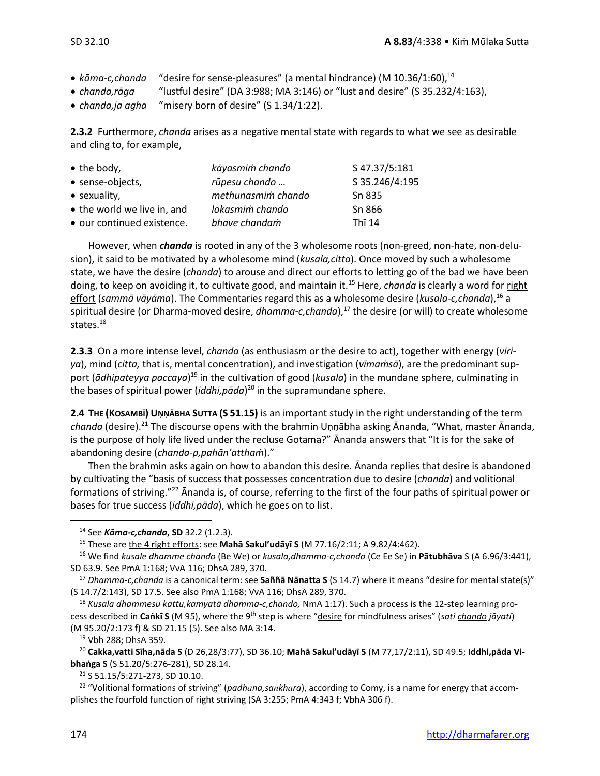- *kāma-c,chanda* "desire for sense-pleasures" (a mental hindrance) (M 10.36/1:60), 14
- *chanda,rāga* "lustful desire" (DA 3:988; MA 3:146) or "lust and desire" (S 35.232/4:163),
- *chanda,ja agha* "misery born of desire" (S 1.34/1:22).

**2.3.2** Furthermore, *chanda* arises as a negative mental state with regards to what we see as desirable and cling to, for example,

| $\bullet$ the body,         | kāyasmim chando    | S 47.37/5:181        |
|-----------------------------|--------------------|----------------------|
| • sense-objects,            | rūpesu chando      | S 35.246/4:195       |
| • sexuality,                | methunasmim chando | Sn 835               |
| • the world we live in, and | lokasmim chando    | Sn 866               |
| • our continued existence.  | bhave chandam      | Th $\overline{1}$ 14 |

However, when *chanda* is rooted in any of the 3 wholesome roots (non-greed, non-hate, non-delusion), it said to be motivated by a wholesome mind (*kusala,citta*). Once moved by such a wholesome state, we have the desire (*chanda*) to arouse and direct our efforts to letting go of the bad we have been doing, to keep on avoiding it, to cultivate good, and maintain it.<sup>15</sup> Here, *chanda* is clearly a word for right effort (sammā vāyāma). The Commentaries regard this as a wholesome desire (kusala-c,chanda),<sup>16</sup> a spiritual desire (or Dharma-moved desire, *dhamma-c, chanda*),<sup>17</sup> the desire (or will) to create wholesome states.<sup>18</sup>

**2.3.3** On a more intense level, *chanda* (as enthusiasm or the desire to act), together with energy (*viriya*), mind (*citta,* that is, mental concentration), and investigation (*vīmaṁsā*), are the predominant support (*ādhipateyya paccaya*) <sup>19</sup> in the cultivation of good (*kusala*) in the mundane sphere, culminating in the bases of spiritual power (*iddhi,pāda*) <sup>20</sup> in the supramundane sphere.

**2.4 THE (KOSAMBĪ) UṆṆĀBHA SUTTA (S 51.15)** is an important study in the right understanding of the term *chanda* (desire).<sup>21</sup> The discourse opens with the brahmin Uṇṇābha asking Ānanda, "What, master Ānanda, is the purpose of holy life lived under the recluse Gotama?" Ānanda answers that "It is for the sake of abandoning desire (*chanda-p,pahān'atthaṁ*)."

Then the brahmin asks again on how to abandon this desire. Ānanda replies that desire is abandoned by cultivating the "basis of success that possesses concentration due to desire (*chanda*) and volitional formations of striving."<sup>22</sup> Ānanda is, of course, referring to the first of the four paths of spiritual power or bases for true success (*iddhi,pāda*), which he goes on to list.

<sup>21</sup> S 51.15/5:271-273, SD 10.10.

<sup>14</sup> See *Kāma-c,chanda***, SD** 32.2 (1.2.3).

<sup>15</sup> These are the 4 right efforts: see **Mahā Sakul'udāyī S** (M 77.16/2:11; A 9.82/4:462).

<sup>16</sup> We find *kusale dhamme chando* (Be We) or *kusala,dhamma-c,chando* (Ce Ee Se) in **Pātubhāva** S (A 6.96/3:441), SD 63.9. See PmA 1:168; VvA 116; DhsA 289, 370.

<sup>17</sup> *Dhamma-c,chanda* is a canonical term: see **Saññā Nānatta S** (S 14.7) where it means "desire for mental state(s)" (S 14.7/2:143), SD 17.5. See also PmA 1:168; VvA 116; DhsA 289, 370.

<sup>18</sup> *Kusala dhammesu kattu,kamyatā dhamma-c,chando,* NmA 1:17). Such a process is the 12-step learning process described in **Caṅkī S** (M 95), where the 9th step is where "desire for mindfulness arises" (*sati chando jāyati*) (M 95.20/2:173 f) & SD 21.15 (5). See also MA 3:14.

<sup>19</sup> Vbh 288; DhsA 359.

<sup>20</sup> **Cakka,vatti Sīha,nāda S** (D 26,28/3:77), SD 36.10; **Mahā Sakul'udāyī S** (M 77,17/2:11), SD 49.5; **Iddhi,pāda Vibhaṅga S** (S 51.20/5:276-281), SD 28.14.

<sup>22</sup> "Volitional formations of striving" (*padhna,sakhra*), according to Comy, is a name for energy that accomplishes the fourfold function of right striving (SA 3:255; PmA 4:343 f; VbhA 306 f).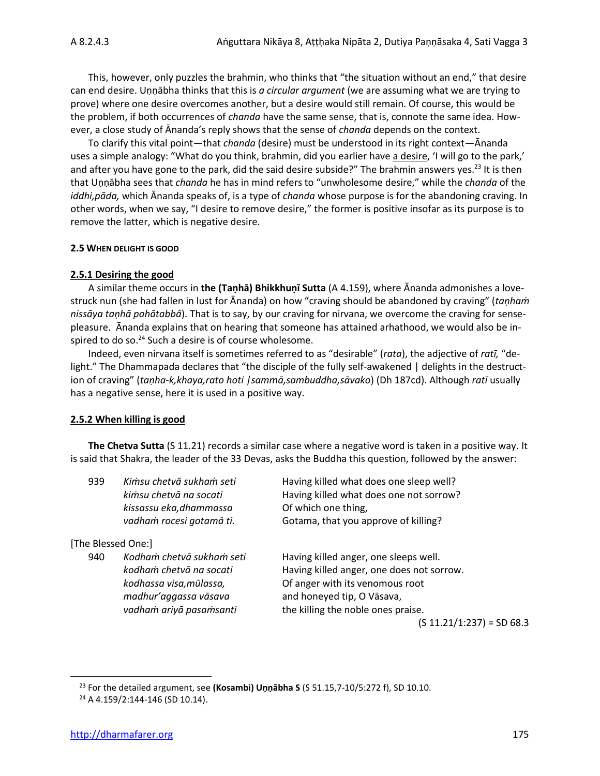This, however, only puzzles the brahmin, who thinks that "the situation without an end," that desire can end desire. Uṇṇābha thinks that this is *a circular argument* (we are assuming what we are trying to prove) where one desire overcomes another, but a desire would still remain. Of course, this would be the problem, if both occurrences of *chanda* have the same sense, that is, connote the same idea. However, a close study of Ānanda's reply shows that the sense of *chanda* depends on the context.

To clarify this vital point—that *chanda* (desire) must be understood in its right context—Ānanda uses a simple analogy: "What do you think, brahmin, did you earlier have a desire, 'I will go to the park,' and after you have gone to the park, did the said desire subside?" The brahmin answers yes.<sup>23</sup> It is then that Uṇṇābha sees that *chanda* he has in mind refers to "unwholesome desire," while the *chanda* of the *iddhi,pāda,* which Ānanda speaks of, is a type of *chanda* whose purpose is for the abandoning craving. In other words, when we say, "I desire to remove desire," the former is positive insofar as its purpose is to remove the latter, which is negative desire.

#### **2.5 WHEN DELIGHT IS GOOD**

#### **2.5.1 Desiring the good**

A similar theme occurs in **the (Taṇhā) Bhikkhuṇī Sutta** (A 4.159), where Ānanda admonishes a lovestruck nun (she had fallen in lust for Ānanda) on how "craving should be abandoned by craving" (*taṇhaṁ nissāya taṇhā pahātabbâ*). That is to say, by our craving for nirvana, we overcome the craving for sensepleasure. Ānanda explains that on hearing that someone has attained arhathood, we would also be inspired to do so.<sup>24</sup> Such a desire is of course wholesome.

Indeed, even nirvana itself is sometimes referred to as "desirable" (*rata*), the adjective of *ratī,* "delight." The Dhammapada declares that "the disciple of the fully self-awakened | delights in the destruction of craving" (*taṇha-k,khaya,rato hoti |sammā,sambuddha,sāvako*) (Dh 187cd). Although *ratī* usually has a negative sense, here it is used in a positive way.

#### **2.5.2 When killing is good**

**The Chetva Sutta** (S 11.21) records a similar case where a negative word is taken in a positive way. It is said that Shakra, the leader of the 33 Devas, asks the Buddha this question, followed by the answer:

| 939                | Kimsu chetvā sukham seti<br>kimsu chetvā na socati<br>kissassu eka, dhammassa<br>vadham rocesi gotamâ ti.                           | Having killed what does one sleep well?<br>Having killed what does one not sorrow?<br>Of which one thing,<br>Gotama, that you approve of killing?                                         |
|--------------------|-------------------------------------------------------------------------------------------------------------------------------------|-------------------------------------------------------------------------------------------------------------------------------------------------------------------------------------------|
| [The Blessed One:] |                                                                                                                                     |                                                                                                                                                                                           |
| 940                | Kodham chetvā sukham seti<br>kodham chetvā na socati<br>kodhassa visa, mūlassa,<br>madhur'aggassa vāsava<br>vadham ariyā pasamsanti | Having killed anger, one sleeps well.<br>Having killed anger, one does not sorrow.<br>Of anger with its venomous root<br>and honeyed tip, O Vāsava,<br>the killing the noble ones praise. |
|                    |                                                                                                                                     | (S 11.21/1:237) = SD 68.3                                                                                                                                                                 |

<sup>23</sup> For the detailed argument, see **(Kosambi) Uṇṇābha S** (S 51.15,7-10/5:272 f), SD 10.10.

<sup>24</sup> A 4.159/2:144-146 (SD 10.14).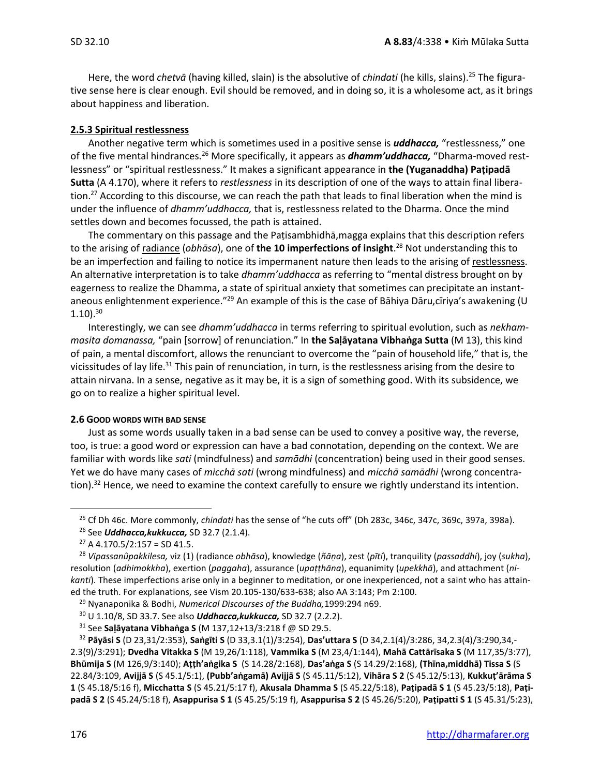Here, the word *chetvā* (having killed, slain) is the absolutive of *chindati* (he kills, slains). <sup>25</sup> The figurative sense here is clear enough. Evil should be removed, and in doing so, it is a wholesome act, as it brings about happiness and liberation.

#### **2.5.3 Spiritual restlessness**

Another negative term which is sometimes used in a positive sense is *uddhacca,* "restlessness," one of the five mental hindrances.<sup>26</sup> More specifically, it appears as *dhamm'uddhacca,* "Dharma-moved restlessness" or "spiritual restlessness." It makes a significant appearance in **the (Yuganaddha) Paṭipadā Sutta** (A 4.170), where it refers to *restlessness* in its description of one of the ways to attain final liberation.<sup>27</sup> According to this discourse, we can reach the path that leads to final liberation when the mind is under the influence of *dhamm'uddhacca,* that is, restlessness related to the Dharma. Once the mind settles down and becomes focussed, the path is attained.

The commentary on this passage and the Paṭisambhidhā,magga explains that this description refers to the arising of radiance (*obhāsa*), one of **the 10 imperfections of insight**. <sup>28</sup> Not understanding this to be an imperfection and failing to notice its impermanent nature then leads to the arising of restlessness. An alternative interpretation is to take *dhamm'uddhacca* as referring to "mental distress brought on by eagerness to realize the Dhamma, a state of spiritual anxiety that sometimes can precipitate an instantaneous enlightenment experience."<sup>29</sup> An example of this is the case of Bāhiya Dāru,cīriya's awakening (U  $1.10$ ). $30$ 

Interestingly, we can see *dhamm'uddhacca* in terms referring to spiritual evolution, such as *nekhammasita domanassa,* "pain [sorrow] of renunciation." In **the Saḷāyatana Vibhaṅga Sutta** (M 13), this kind of pain, a mental discomfort, allows the renunciant to overcome the "pain of household life," that is, the vicissitudes of lay life.<sup>31</sup> This pain of renunciation, in turn, is the restlessness arising from the desire to attain nirvana. In a sense, negative as it may be, it is a sign of something good. With its subsidence, we go on to realize a higher spiritual level.

#### **2.6 GOOD WORDS WITH BAD SENSE**

Just as some words usually taken in a bad sense can be used to convey a positive way, the reverse, too, is true: a good word or expression can have a bad connotation, depending on the context. We are familiar with words like *sati* (mindfulness) and *samādhi* (concentration) being used in their good senses. Yet we do have many cases of *micchā sati* (wrong mindfulness) and *micchā samādhi* (wrong concentration).<sup>32</sup> Hence, we need to examine the context carefully to ensure we rightly understand its intention.

<sup>25</sup> Cf Dh 46c. More commonly, *chindati* has the sense of "he cuts off" (Dh 283c, 346c, 347c, 369c, 397a, 398a).

<sup>26</sup> See *Uddhacca,kukkucca,* SD 32.7 (2.1.4).

 $27$  A 4.170.5/2:157 = SD 41.5.

<sup>28</sup> *Vipassanûpakkilesa,* viz (1) (radiance *obhāsa*), knowledge (*ñāṇa*), zest (*pīti*), tranquility (*passaddhi*), joy (*sukha*), resolution (*adhimokkha*), exertion (*paggaha*), assurance (*upaṭṭhāna*), equanimity (*upekkhā*), and attachment (*nikanti*). These imperfections arise only in a beginner to meditation, or one inexperienced, not a saint who has attained the truth. For explanations, see Vism 20.105-130/633-638; also AA 3:143; Pm 2:100.

<sup>29</sup> Nyanaponika & Bodhi, *Numerical Discourses of the Buddha,*1999:294 n69.

<sup>30</sup> U 1.10/8, SD 33.7. See also *Uddhacca,kukkucca,* SD 32.7 (2.2.2).

<sup>31</sup> See **Saḷāyatana Vibhaṅga S** (M 137,12+13/3:218 f @ SD 29.5.

<sup>32</sup> **Pāyāsi S** (D 23,31/2:353), **Saṅgīti S** (D 33,3.1(1)/3:254), **Das'uttara S** (D 34,2.1(4)/3:286, 34,2.3(4)/3:290,34,- 2.3(9)/3:291); **Dvedha Vitakka S** (M 19,26/1:118), **Vammika S** (M 23,4/1:144), **Mahā Cattārīsaka S** (M 117,35/3:77), **Bhūmija S** (M 126,9/3:140); **Aṭṭh'aṅgika S** (S 14.28/2:168), **Das'aṅga S** (S 14.29/2:168), **(Thīna,middhā) Tissa S** (S 22.84/3:109, **Avijjā S** (S 45.1/5:1), **(Pubb'aṅgamā) Avijjā S** (S 45.11/5:12), **Vihāra S 2** (S 45.12/5:13), **Kukkuṭ'ārāma S 1** (S 45.18/5:16 f), **Micchatta S** (S 45.21/5:17 f), **Akusala Dhamma S** (S 45.22/5:18), **Paṭipadā S 1** (S 45.23/5:18), **Paṭipadā S 2** (S 45.24/5:18 f), **Asappurisa S 1** (S 45.25/5:19 f), **Asappurisa S 2** (S 45.26/5:20), **Paṭipatti S 1** (S 45.31/5:23),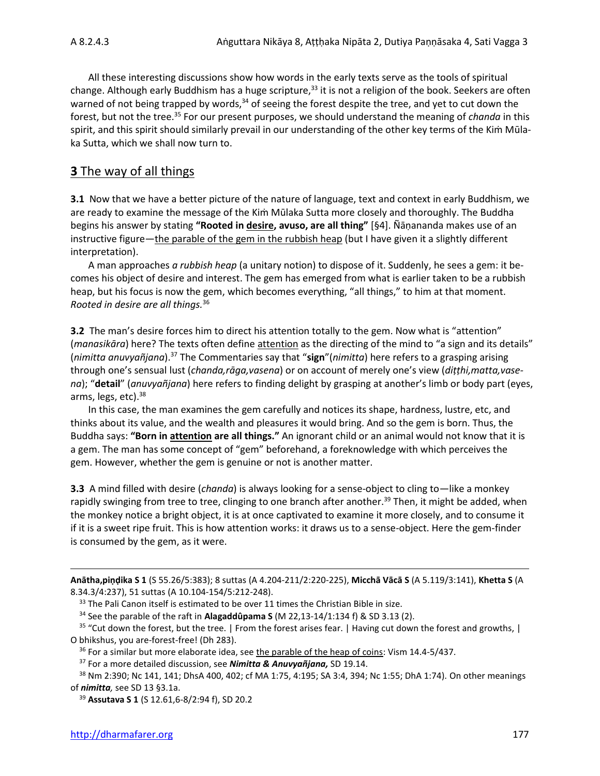All these interesting discussions show how words in the early texts serve as the tools of spiritual change. Although early Buddhism has a huge scripture, $33$  it is not a religion of the book. Seekers are often warned of not being trapped by words,<sup>34</sup> of seeing the forest despite the tree, and yet to cut down the forest, but not the tree.<sup>35</sup> For our present purposes, we should understand the meaning of *chanda* in this spirit, and this spirit should similarly prevail in our understanding of the other key terms of the Kim Mūlaka Sutta, which we shall now turn to.

# **3** The way of all things

**3.1** Now that we have a better picture of the nature of language, text and context in early Buddhism, we are ready to examine the message of the Kim Mūlaka Sutta more closely and thoroughly. The Buddha begins his answer by stating **"Rooted in desire, avuso, are all thing"** [§4]. Ñāṇananda makes use of an instructive figure—the parable of the gem in the rubbish heap (but I have given it a slightly different interpretation).

A man approaches *a rubbish heap* (a unitary notion) to dispose of it. Suddenly, he sees a gem: it becomes his object of desire and interest. The gem has emerged from what is earlier taken to be a rubbish heap, but his focus is now the gem, which becomes everything, "all things," to him at that moment. *Rooted in desire are all things.* 36

**3.2** The man's desire forces him to direct his attention totally to the gem. Now what is "attention" (*manasikāra*) here? The texts often define attention as the directing of the mind to "a sign and its details" (*nimitta anuvyañjana*).<sup>37</sup> The Commentaries say that "**sign**"(*nimitta*) here refers to a grasping arising through one's sensual lust (*chanda,rāga,vasena*) or on account of merely one's view (*diṭṭhi,matta,vasena*); "**detail**" (*anuvyañjana*) here refers to finding delight by grasping at another's limb or body part (eyes, arms, legs, etc).<sup>38</sup>

In this case, the man examines the gem carefully and notices its shape, hardness, lustre, etc, and thinks about its value, and the wealth and pleasures it would bring. And so the gem is born. Thus, the Buddha says: **"Born in attention are all things."** An ignorant child or an animal would not know that it is a gem. The man has some concept of "gem" beforehand, a foreknowledge with which perceives the gem. However, whether the gem is genuine or not is another matter.

**3.3** A mind filled with desire (*chanda*) is always looking for a sense-object to cling to—like a monkey rapidly swinging from tree to tree, clinging to one branch after another.<sup>39</sup> Then, it might be added, when the monkey notice a bright object, it is at once captivated to examine it more closely, and to consume it if it is a sweet ripe fruit. This is how attention works: it draws us to a sense-object. Here the gem-finder is consumed by the gem, as it were.

**Anātha,piṇḍika S 1** (S 55.26/5:383); 8 suttas (A 4.204-211/2:220-225), **Micchā Vācā S** (A 5.119/3:141), **Khetta S** (A 8.34.3/4:237), 51 suttas (A 10.104-154/5:212-248).

<sup>34</sup> See the parable of the raft in **Alagaddûpama S** (M 22,13-14/1:134 f) & SD 3.13 (2).

<sup>35</sup> "Cut down the forest, but the tree. | From the forest arises fear. | Having cut down the forest and growths, | O bhikshus, you are-forest-free! (Dh 283).

<sup>36</sup> For a similar but more elaborate idea, see the parable of the heap of coins: Vism 14.4-5/437.

<sup>&</sup>lt;sup>33</sup> The Pali Canon itself is estimated to be over 11 times the Christian Bible in size.

<sup>37</sup> For a more detailed discussion, see *Nimitta & Anuvyañjana,* SD 19.14.

<sup>38</sup> Nm 2:390; Nc 141, 141; DhsA 400, 402; cf MA 1:75, 4:195; SA 3:4, 394; Nc 1:55; DhA 1:74). On other meanings of *nimitta,* see SD 13 §3.1a.

<sup>39</sup> **Assutava S 1** (S 12.61,6-8/2:94 f), SD 20.2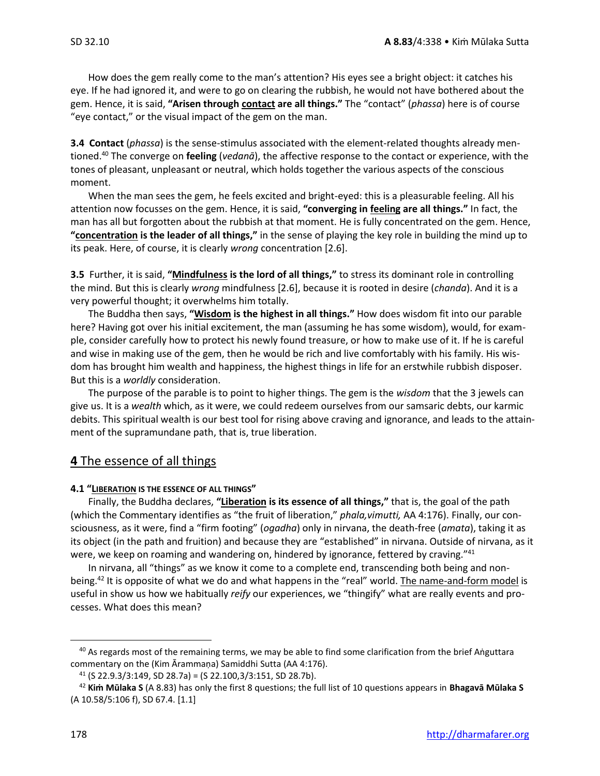How does the gem really come to the man's attention? His eyes see a bright object: it catches his eye. If he had ignored it, and were to go on clearing the rubbish, he would not have bothered about the gem. Hence, it is said, **"Arisen through contact are all things."** The "contact" (*phassa*) here is of course "eye contact," or the visual impact of the gem on the man.

**3.4 Contact** (*phassa*) is the sense-stimulus associated with the element-related thoughts already mentioned.<sup>40</sup> The converge on **feeling** (*vedanā*), the affective response to the contact or experience, with the tones of pleasant, unpleasant or neutral, which holds together the various aspects of the conscious moment.

When the man sees the gem, he feels excited and bright-eyed: this is a pleasurable feeling. All his attention now focusses on the gem. Hence, it is said, **"converging in feeling are all things."** In fact, the man has all but forgotten about the rubbish at that moment. He is fully concentrated on the gem. Hence, **"concentration is the leader of all things,"** in the sense of playing the key role in building the mind up to its peak. Here, of course, it is clearly *wrong* concentration [2.6].

**3.5** Further, it is said, **"Mindfulness is the lord of all things,"** to stress its dominant role in controlling the mind. But this is clearly *wrong* mindfulness [2.6], because it is rooted in desire (*chanda*). And it is a very powerful thought; it overwhelms him totally.

The Buddha then says, **"Wisdom is the highest in all things."** How does wisdom fit into our parable here? Having got over his initial excitement, the man (assuming he has some wisdom), would, for example, consider carefully how to protect his newly found treasure, or how to make use of it. If he is careful and wise in making use of the gem, then he would be rich and live comfortably with his family. His wisdom has brought him wealth and happiness, the highest things in life for an erstwhile rubbish disposer. But this is a *worldly* consideration.

The purpose of the parable is to point to higher things. The gem is the *wisdom* that the 3 jewels can give us. It is a *wealth* which, as it were, we could redeem ourselves from our samsaric debts, our karmic debits. This spiritual wealth is our best tool for rising above craving and ignorance, and leads to the attainment of the supramundane path, that is, true liberation.

#### **4** The essence of all things

#### **4.1 "LIBERATION IS THE ESSENCE OF ALL THINGS"**

Finally, the Buddha declares, **"Liberation is its essence of all things,"** that is, the goal of the path (which the Commentary identifies as "the fruit of liberation," *phala,vimutti,* AA 4:176). Finally, our consciousness, as it were, find a "firm footing" (*ogadha*) only in nirvana, the death-free (*amata*), taking it as its object (in the path and fruition) and because they are "established" in nirvana. Outside of nirvana, as it were, we keep on roaming and wandering on, hindered by ignorance, fettered by craving."41

In nirvana, all "things" as we know it come to a complete end, transcending both being and nonbeing.<sup>42</sup> It is opposite of what we do and what happens in the "real" world. The name-and-form model is useful in show us how we habitually *reify* our experiences, we "thingify" what are really events and processes. What does this mean?

<sup>&</sup>lt;sup>40</sup> As regards most of the remaining terms, we may be able to find some clarification from the brief Aṅguttara commentary on the (Kim Ārammaṇa) Samiddhi Sutta (AA 4:176).

 $41$  (S 22.9.3/3:149, SD 28.7a) = (S 22.100,3/3:151, SD 28.7b).

<sup>42</sup> **Kiṁ Mūlaka S** (A 8.83) has only the first 8 questions; the full list of 10 questions appears in **Bhagavā Mūlaka S**  (A 10.58/5:106 f), SD 67.4. [1.1]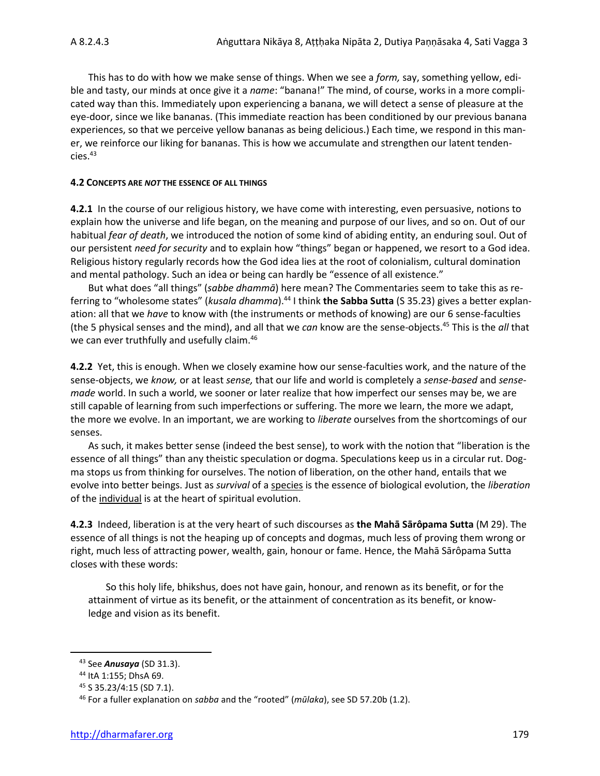This has to do with how we make sense of things. When we see a *form,* say, something yellow, edible and tasty, our minds at once give it a *name*: "banana!" The mind, of course, works in a more complicated way than this. Immediately upon experiencing a banana, we will detect a sense of pleasure at the eye-door, since we like bananas. (This immediate reaction has been conditioned by our previous banana experiences, so that we perceive yellow bananas as being delicious.) Each time, we respond in this maner, we reinforce our liking for bananas. This is how we accumulate and strengthen our latent tendencies.<sup>43</sup>

#### **4.2 CONCEPTS ARE** *NOT* **THE ESSENCE OF ALL THINGS**

**4.2.1** In the course of our religious history, we have come with interesting, even persuasive, notions to explain how the universe and life began, on the meaning and purpose of our lives, and so on. Out of our habitual *fear of death*, we introduced the notion of some kind of abiding entity, an enduring soul. Out of our persistent *need for security* and to explain how "things" began or happened, we resort to a God idea. Religious history regularly records how the God idea lies at the root of colonialism, cultural domination and mental pathology. Such an idea or being can hardly be "essence of all existence."

But what does "all things" (*sabbe dhammā*) here mean? The Commentaries seem to take this as referring to "wholesome states" (*kusala dhamma*).<sup>44</sup> I think **the Sabba Sutta** (S 35.23) gives a better explanation: all that we *have* to know with (the instruments or methods of knowing) are our 6 sense-faculties (the 5 physical senses and the mind), and all that we *can* know are the sense-objects.<sup>45</sup> This is the *all* that we can ever truthfully and usefully claim.<sup>46</sup>

**4.2.2** Yet, this is enough. When we closely examine how our sense-faculties work, and the nature of the sense-objects, we *know,* or at least *sense,* that our life and world is completely a *sense-based* and *sensemade* world. In such a world, we sooner or later realize that how imperfect our senses may be, we are still capable of learning from such imperfections or suffering. The more we learn, the more we adapt, the more we evolve. In an important, we are working to *liberate* ourselves from the shortcomings of our senses.

As such, it makes better sense (indeed the best sense), to work with the notion that "liberation is the essence of all things" than any theistic speculation or dogma. Speculations keep us in a circular rut. Dogma stops us from thinking for ourselves. The notion of liberation, on the other hand, entails that we evolve into better beings. Just as *survival* of a species is the essence of biological evolution, the *liberation*  of the individual is at the heart of spiritual evolution.

**4.2.3** Indeed, liberation is at the very heart of such discourses as **the Mahā Sārôpama Sutta** (M 29). The essence of all things is not the heaping up of concepts and dogmas, much less of proving them wrong or right, much less of attracting power, wealth, gain, honour or fame. Hence, the Mahā Sārôpama Sutta closes with these words:

So this holy life, bhikshus, does not have gain, honour, and renown as its benefit, or for the attainment of virtue as its benefit, or the attainment of concentration as its benefit, or knowledge and vision as its benefit.

<sup>43</sup> See *Anusaya* (SD 31.3).

<sup>44</sup> ItA 1:155; DhsA 69.

<sup>45</sup> S 35.23/4:15 (SD 7.1).

<sup>46</sup> For a fuller explanation on *sabba* and the "rooted" (*mūlaka*), see SD 57.20b (1.2).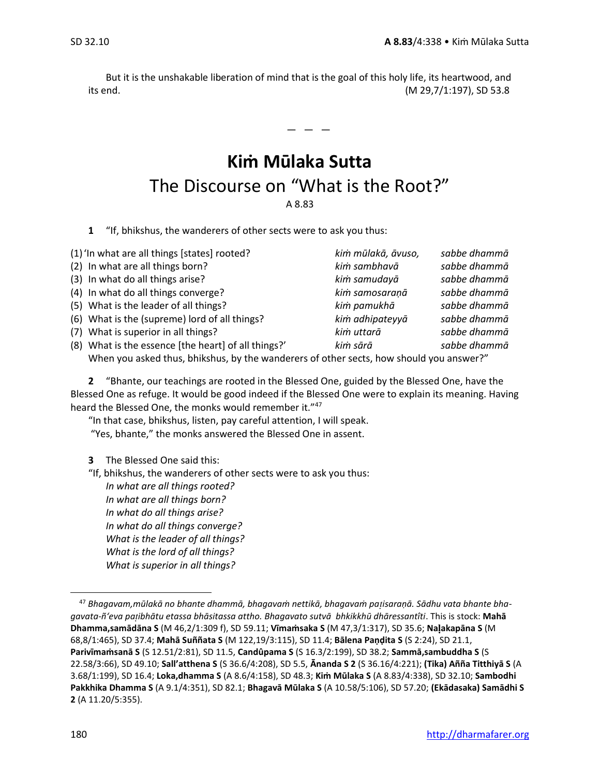But it is the unshakable liberation of mind that is the goal of this holy life, its heartwood, and its end. (M 29,7/1:197), SD 53.8

 $-$ 

# **Kiṁ Mūlaka Sutta** The Discourse on "What is the Root?" A 8.83

**1** "If, bhikshus, the wanderers of other sects were to ask you thus:

| (1) 'In what are all things [states] rooted?                                         | kim mūlakā, āvuso, | sabbe dhammā |
|--------------------------------------------------------------------------------------|--------------------|--------------|
| (2) In what are all things born?                                                     | kim sambhavā       | sabbe dhammā |
| (3) In what do all things arise?                                                     | kim samudayā       | sabbe dhammā |
| (4) In what do all things converge?                                                  | kim samosaranā     | sabbe dhammā |
| (5) What is the leader of all things?                                                | kim pamukhā        | sabbe dhammā |
| (6) What is the (supreme) lord of all things?                                        | kim adhipateyyā    | sabbe dhammā |
| (7) What is superior in all things?                                                  | kim uttarā         | sabbe dhammā |
| (8) What is the essence [the heart] of all things?'                                  | kim sārā           | sabbe dhammā |
| When you acked thus bhikshus by the wanderers of other sects how should you answer?" |                    |              |

When you asked thus, bhikshus, by the wanderers of other sects, how should you answer?"

**2** "Bhante, our teachings are rooted in the Blessed One, guided by the Blessed One, have the Blessed One as refuge. It would be good indeed if the Blessed One were to explain its meaning. Having heard the Blessed One, the monks would remember it."<sup>47</sup>

"In that case, bhikshus, listen, pay careful attention, I will speak. "Yes, bhante," the monks answered the Blessed One in assent.

**3** The Blessed One said this:

"If, bhikshus, the wanderers of other sects were to ask you thus:

*In what are all things rooted? In what are all things born? In what do all things arise? In what do all things converge? What is the leader of all things? What is the lord of all things? What is superior in all things?*

<sup>47</sup> *Bhagavam,mūlakā no bhante dhammā, bhagavaṁ nettikā, bhagavaṁ paisaraṇā. Sādhu vata bhante bhagavata-ñ'eva paibhātu etassa bhāsitassa attho. Bhagavato sutvā bhkikkhū dhāressantîti*. This is stock: **Mahā Dhamma,samādāna S** (M 46,2/1:309 f), SD 59.11; **Vīmaṁsaka S** (M 47,3/1:317), SD 35.6; **Naakapāna S** (M 68,8/1:465), SD 37.4; **Mahā Suññata S** (M 122,19/3:115), SD 11.4; **Bālena Paṇḍita S** (S 2:24), SD 21.1, **Parivīmaṁsanā S** (S 12.51/2:81), SD 11.5, **Candûpama S** (S 16.3/2:199), SD 38.2; **Sammā,sambuddha S** (S 22.58/3:66), SD 49.10; **Sall'atthena S** (S 36.6/4:208), SD 5.5, **Ānanda S 2** (S 36.16/4:221); **(Tika) Añña Titthiyā S** (A 3.68/1:199), SD 16.4; **Loka,dhamma S** (A 8.6/4:158), SD 48.3; **Kiṁ Mūlaka S** (A 8.83/4:338), SD 32.10; **Sambodhi Pakkhika Dhamma S** (A 9.1/4:351), SD 82.1; **Bhagavā Mūlaka S** (A 10.58/5:106), SD 57.20; **(Ekādasaka) Samādhi S 2** (A 11.20/5:355).